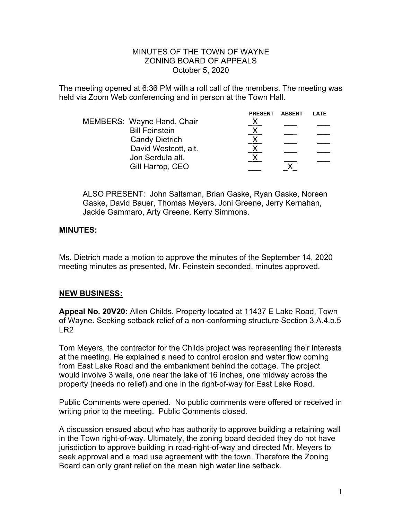#### MINUTES OF THE TOWN OF WAYNE ZONING BOARD OF APPEALS October 5, 2020

The meeting opened at 6:36 PM with a roll call of the members. The meeting was held via Zoom Web conferencing and in person at the Town Hall.

|                       | <b>PRESENT</b>             | <b>ABSENT</b> | LATE |
|-----------------------|----------------------------|---------------|------|
|                       |                            |               |      |
| <b>Bill Feinstein</b> |                            |               |      |
| <b>Candy Dietrich</b> |                            |               |      |
| David Westcott, alt.  |                            |               |      |
| Jon Serdula alt.      |                            |               |      |
| Gill Harrop, CEO      |                            |               |      |
|                       | MEMBERS: Wayne Hand, Chair |               |      |

ALSO PRESENT: John Saltsman, Brian Gaske, Ryan Gaske, Noreen Gaske, David Bauer, Thomas Meyers, Joni Greene, Jerry Kernahan, Jackie Gammaro, Arty Greene, Kerry Simmons.

### **MINUTES:**

Ms. Dietrich made a motion to approve the minutes of the September 14, 2020 meeting minutes as presented, Mr. Feinstein seconded, minutes approved.

### **NEW BUSINESS:**

**Appeal No. 20V20:** Allen Childs. Property located at 11437 E Lake Road, Town of Wayne. Seeking setback relief of a non-conforming structure Section 3.A.4.b.5 LR2

Tom Meyers, the contractor for the Childs project was representing their interests at the meeting. He explained a need to control erosion and water flow coming from East Lake Road and the embankment behind the cottage. The project would involve 3 walls, one near the lake of 16 inches, one midway across the property (needs no relief) and one in the right-of-way for East Lake Road.

Public Comments were opened. No public comments were offered or received in writing prior to the meeting. Public Comments closed.

A discussion ensued about who has authority to approve building a retaining wall in the Town right-of-way. Ultimately, the zoning board decided they do not have jurisdiction to approve building in road-right-of-way and directed Mr. Meyers to seek approval and a road use agreement with the town. Therefore the Zoning Board can only grant relief on the mean high water line setback.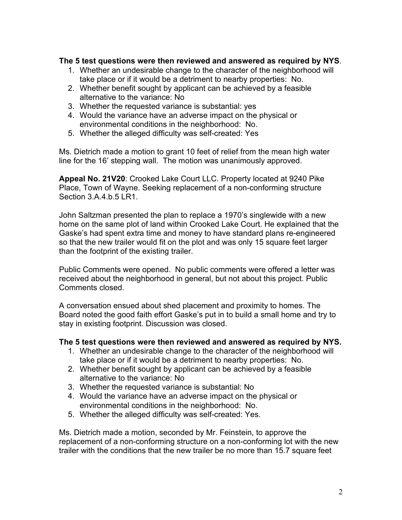# **The 5 test questions were then reviewed and answered as required by NYS**.

- 1. Whether an undesirable change to the character of the neighborhood will take place or if it would be a detriment to nearby properties: No.
- 2. Whether benefit sought by applicant can be achieved by a feasible alternative to the variance: No
- 3. Whether the requested variance is substantial: yes
- 4. Would the variance have an adverse impact on the physical or environmental conditions in the neighborhood: No.
- 5. Whether the alleged difficulty was self-created: Yes

Ms. Dietrich made a motion to grant 10 feet of relief from the mean high water line for the 16' stepping wall. The motion was unanimously approved.

**Appeal No. 21V20**: Crooked Lake Court LLC. Property located at 9240 Pike Place, Town of Wayne. Seeking replacement of a non-conforming structure Section 3.A.4.b.5 LR1.

John Saltzman presented the plan to replace a 1970's singlewide with a new home on the same plot of land within Crooked Lake Court. He explained that the Gaske's had spent extra time and money to have standard plans re-engineered so that the new trailer would fit on the plot and was only 15 square feet larger than the footprint of the existing trailer.

Public Comments were opened. No public comments were offered a letter was received about the neighborhood in general, but not about this project. Public Comments closed.

A conversation ensued about shed placement and proximity to homes. The Board noted the good faith effort Gaske's put in to build a small home and try to stay in existing footprint. Discussion was closed.

### **The 5 test questions were then reviewed and answered as required by NYS.**

- 1. Whether an undesirable change to the character of the neighborhood will take place or if it would be a detriment to nearby properties: No.
- 2. Whether benefit sought by applicant can be achieved by a feasible alternative to the variance: No
- 3. Whether the requested variance is substantial: No
- 4. Would the variance have an adverse impact on the physical or environmental conditions in the neighborhood: No.
- 5. Whether the alleged difficulty was self-created: Yes.

Ms. Dietrich made a motion, seconded by Mr. Feinstein, to approve the replacement of a non-conforming structure on a non-conforming lot with the new trailer with the conditions that the new trailer be no more than 15.7 square feet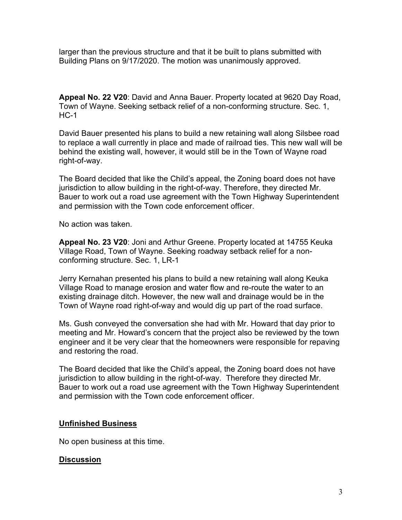larger than the previous structure and that it be built to plans submitted with Building Plans on 9/17/2020. The motion was unanimously approved.

**Appeal No. 22 V20**: David and Anna Bauer. Property located at 9620 Day Road, Town of Wayne. Seeking setback relief of a non-conforming structure. Sec. 1,  $HC-1$ 

David Bauer presented his plans to build a new retaining wall along Silsbee road to replace a wall currently in place and made of railroad ties. This new wall will be behind the existing wall, however, it would still be in the Town of Wayne road right-of-way.

The Board decided that like the Child's appeal, the Zoning board does not have jurisdiction to allow building in the right-of-way. Therefore, they directed Mr. Bauer to work out a road use agreement with the Town Highway Superintendent and permission with the Town code enforcement officer.

No action was taken.

**Appeal No. 23 V20**: Joni and Arthur Greene. Property located at 14755 Keuka Village Road, Town of Wayne. Seeking roadway setback relief for a nonconforming structure. Sec. 1, LR-1

Jerry Kernahan presented his plans to build a new retaining wall along Keuka Village Road to manage erosion and water flow and re-route the water to an existing drainage ditch. However, the new wall and drainage would be in the Town of Wayne road right-of-way and would dig up part of the road surface.

Ms. Gush conveyed the conversation she had with Mr. Howard that day prior to meeting and Mr. Howard's concern that the project also be reviewed by the town engineer and it be very clear that the homeowners were responsible for repaving and restoring the road.

The Board decided that like the Child's appeal, the Zoning board does not have jurisdiction to allow building in the right-of-way. Therefore they directed Mr. Bauer to work out a road use agreement with the Town Highway Superintendent and permission with the Town code enforcement officer.

### **Unfinished Business**

No open business at this time.

### **Discussion**